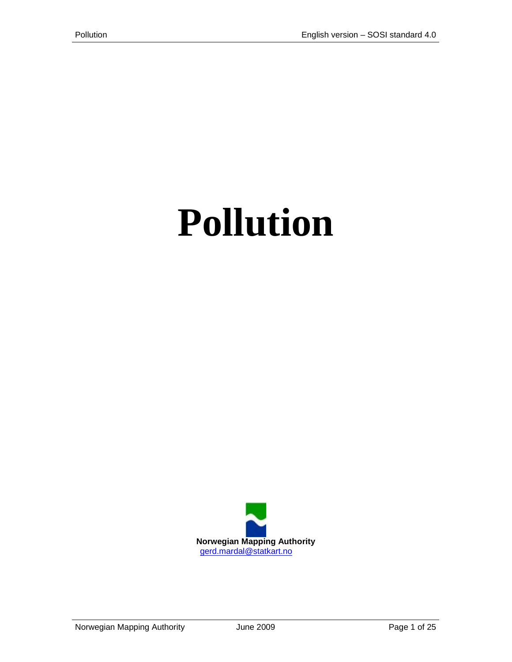# **Pollution**

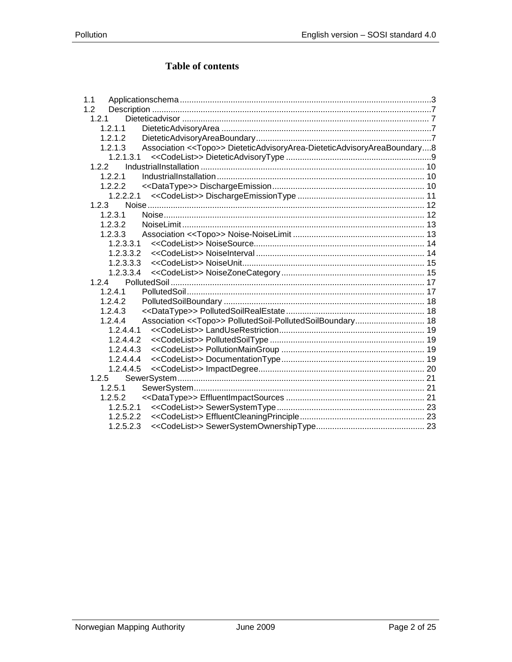# Table of contents

| 1.1                                                                                 |  |
|-------------------------------------------------------------------------------------|--|
| 1.2                                                                                 |  |
| 1.2.1                                                                               |  |
| 1.2.1.1                                                                             |  |
| 1.2.1.2                                                                             |  |
| 1.2.1.3<br>Association << Topo>> DieteticAdvisoryArea-DieteticAdvisoryAreaBoundary8 |  |
| 1.2.1.3.1                                                                           |  |
| 1.2.2                                                                               |  |
| 1.2.2.1                                                                             |  |
| 1.2.2.2                                                                             |  |
|                                                                                     |  |
| 1.2.3                                                                               |  |
| 1.2.3.1                                                                             |  |
| 1.2.3.2                                                                             |  |
| 1.2.3.3                                                                             |  |
| 1.2.3.3.1                                                                           |  |
| 1.2.3.3.2                                                                           |  |
| 1.2.3.3.3                                                                           |  |
| 1.2.3.3.4                                                                           |  |
| 1.2.4                                                                               |  |
| 1.2.4.1                                                                             |  |
| 1.2.4.2                                                                             |  |
| 1.2.4.3                                                                             |  |
| Association << Topo>> PollutedSoil-PollutedSoilBoundary 18<br>1.2.4.4               |  |
| 1, 2, 4, 4, 1                                                                       |  |
| 1.2.4.4.2                                                                           |  |
| 1.2.4.4.3                                                                           |  |
| 1.2.4.4.4                                                                           |  |
| 1.2.4.4.5                                                                           |  |
| 1.2.5                                                                               |  |
| 1.2.5.1                                                                             |  |
| 1.2.5.2                                                                             |  |
| 1.2.5.2.1                                                                           |  |
| 1.2.5.2.2                                                                           |  |
| 1.2.5.2.3                                                                           |  |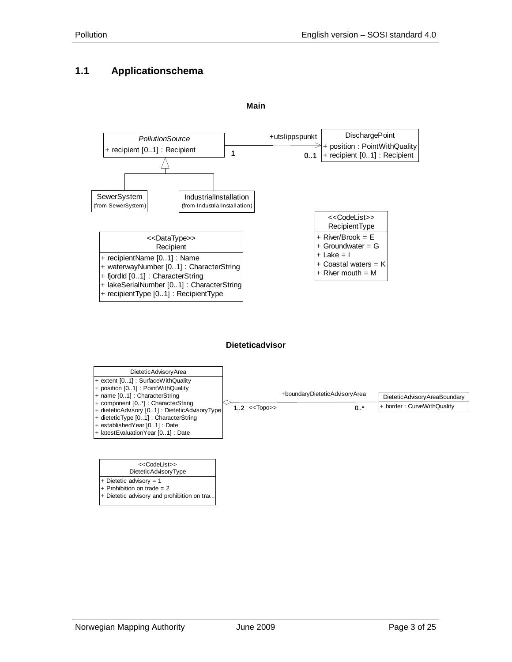## <span id="page-2-0"></span>**1.1 Applicationschema**



**Main**

#### **Dieteticadvisor**



| < <codelist>&gt;</codelist> |  |
|-----------------------------|--|
| DieteticAdvisoryType        |  |

+ Dietetic advisory = 1 + Prohibition on trade = 2

+ Dietetic advisory and prohibition on tra.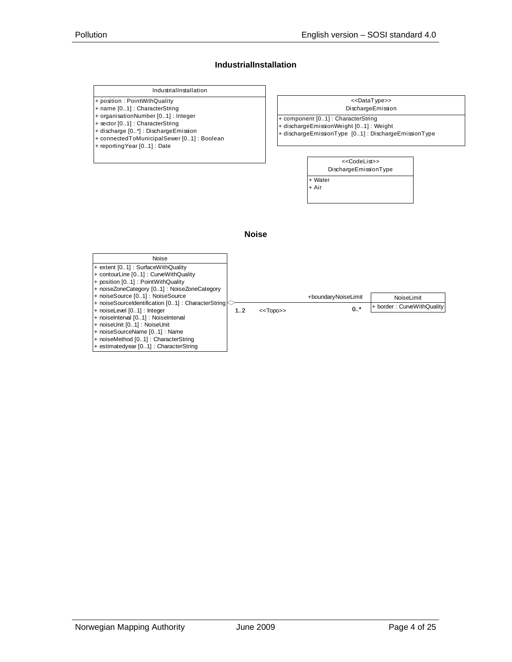#### **IndustrialInstallation**

#### IndustrialInstallation

- + position : PointWithQuality
- + name [0..1] : CharacterString
- + organisationNumber [0..1] : Integer + sector [0..1] : CharacterString
- + discharge [0..\*] : DischargeEmission
- + connectedToMunicipalSewer [0..1] : Boolean
- + reportingYear [0..1] : Date
- DischargeEmission <<DataType>>
- + component [0..1] : CharacterString
- + dischargeEmissionWeight [0..1] : Weight
- + dischargeEmissionType [0..1] : DischargeEmissionType



#### **Noise**

| Noise                                                 |    |             |                     |                            |
|-------------------------------------------------------|----|-------------|---------------------|----------------------------|
| + extent [01] : SurfaceWithQuality                    |    |             |                     |                            |
| + contourLine [01] : CurveWithQuality                 |    |             |                     |                            |
| + position [01] : PointWithQuality                    |    |             |                     |                            |
| + noiseZoneCategory [01] : NoiseZoneCategory          |    |             |                     |                            |
| + noiseSource [01] : NoiseSource                      |    |             | +boundaryNoiseLimit | NoiseLimit                 |
| + noiseSourceIdentification $[0.1]$ : CharacterString |    |             |                     | + border: CurveWithQuality |
| + noiseLevel [01] : Integer                           | 12 | $<<$ TODO>> | $0.1$ *             |                            |
| + noiseInterval [01] : NoiseInterval                  |    |             |                     |                            |
| + noiseUnit [01] : NoiseUnit                          |    |             |                     |                            |
| + noiseSourceName [01] : Name                         |    |             |                     |                            |
| + noiseMethod [01]: CharacterString                   |    |             |                     |                            |
| + estimatedyear [01] : CharacterString                |    |             |                     |                            |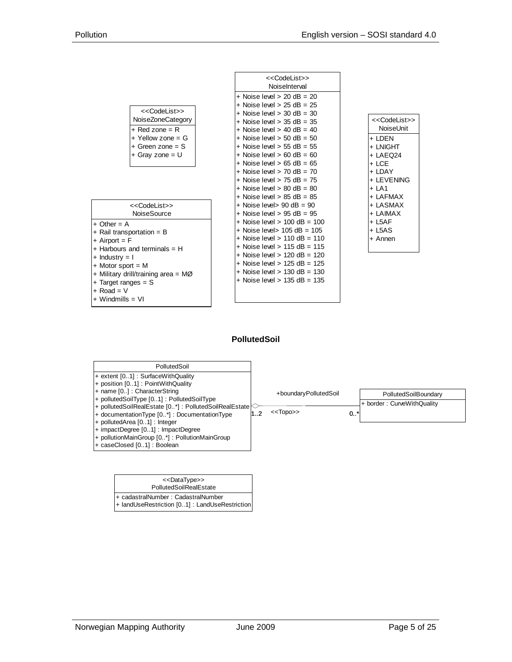

#### **PollutedSoil**



| < <datatype>&gt;<br/>PollutedSoilRealEstate</datatype>                                |
|---------------------------------------------------------------------------------------|
| + cadastralNumber: CadastralNumber<br> + landUseRestriction [01] : LandUseRestriction |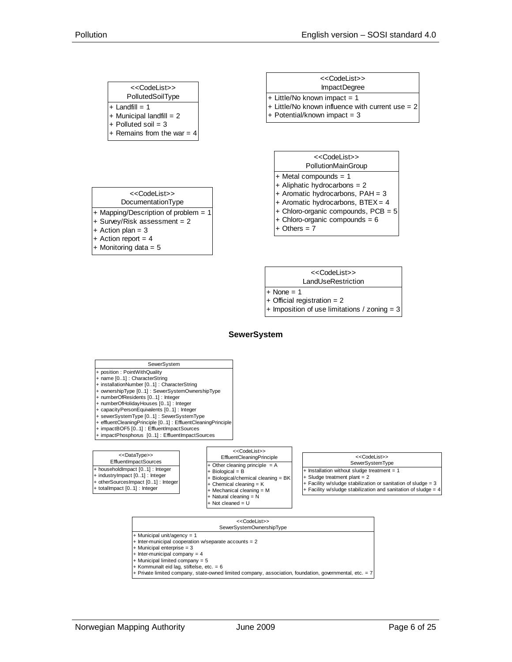| < <codelist>&gt;</codelist>                      |
|--------------------------------------------------|
| PollutedSoilType                                 |
| $+$ Landfill = 1                                 |
| + Municipal landfill = $2 +$ Polluted soil = $3$ |
|                                                  |
| + Remains from the war = $4$                     |

| < <codelist>&gt;<br/>ImpactDegree</codelist>       |  |
|----------------------------------------------------|--|
| + Little/No known impact = 1                       |  |
| $+$ Little/No known influence with current use = 2 |  |
| + Potential/known impact = $3$                     |  |



| < <codelist>&gt;</codelist>            |
|----------------------------------------|
| DocumentationType                      |
| $+$ Mapping/Description of problem = 1 |
| + Survey/Risk assessment = 2           |
| $+$ Action plan = 3                    |
| + Action report = $4$                  |
| + Monitoring data = $5$                |



```
+ None = 1
```

```
+ Official registration = 2
```
+ Imposition of use limitations / zoning = 3

#### **SewerSystem**



- + Municipal unit/agency = 1
- + Inter-municipal cooperation w/separate accounts = 2
- + Municipal enterprise = 3  $+$  Inter-municipal company = 4
- $-$  Municipal limited company = 5
- + Kommunalt eid lag, stiftelse, etc. = 6
- $+$  Private limited company, state-owned limited company, association, foundation, governmental, etc. =  $\overline{i}$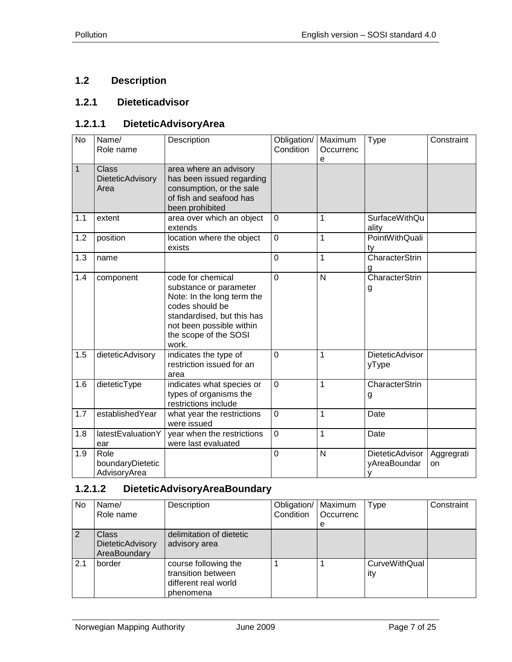# <span id="page-6-0"></span>**1.2 Description**

## <span id="page-6-1"></span>**1.2.1 Dieteticadvisor**

## <span id="page-6-2"></span>**1.2.1.1 DieteticAdvisoryArea**

| $\overline{N_{0}}$ | Name/<br>Role name                       | Description                                                                                                                                                                              | Obligation/<br>Condition | Maximum<br>Occurrenc<br>e | <b>Type</b>                            | Constraint       |
|--------------------|------------------------------------------|------------------------------------------------------------------------------------------------------------------------------------------------------------------------------------------|--------------------------|---------------------------|----------------------------------------|------------------|
| $\mathbf{1}$       | <b>Class</b><br>DieteticAdvisory<br>Area | area where an advisory<br>has been issued regarding<br>consumption, or the sale<br>of fish and seafood has<br>been prohibited                                                            |                          |                           |                                        |                  |
| 1.1                | extent                                   | area over which an object<br>extends                                                                                                                                                     | $\mathbf 0$              | 1                         | <b>SurfaceWithQu</b><br>ality          |                  |
| 1.2                | position                                 | location where the object<br>exists                                                                                                                                                      | $\overline{0}$           | 1                         | PointWithQuali<br>ty                   |                  |
| 1.3                | name                                     |                                                                                                                                                                                          | $\overline{0}$           | $\overline{1}$            | CharacterStrin<br>g                    |                  |
| 1.4                | component                                | code for chemical<br>substance or parameter<br>Note: In the long term the<br>codes should be<br>standardised, but this has<br>not been possible within<br>the scope of the SOSI<br>work. | $\overline{0}$           | $\overline{\mathsf{N}}$   | CharacterStrin<br>g                    |                  |
| 1.5                | dieteticAdvisory                         | indicates the type of<br>restriction issued for an<br>area                                                                                                                               | $\overline{0}$           | $\mathbf{1}$              | DieteticAdvisor<br>yType               |                  |
| 1.6                | dieteticType                             | indicates what species or<br>types of organisms the<br>restrictions include                                                                                                              | $\overline{0}$           | 1                         | CharacterStrin<br>g                    |                  |
| 1.7                | establishedYear                          | what year the restrictions<br>were issued                                                                                                                                                | $\mathbf 0$              | 1                         | Date                                   |                  |
| 1.8                | latestEvaluationY<br>ear                 | year when the restrictions<br>were last evaluated                                                                                                                                        | $\mathbf 0$              | $\mathbf{1}$              | Date                                   |                  |
| 1.9                | Role<br>boundaryDietetic<br>AdvisoryArea |                                                                                                                                                                                          | $\mathbf 0$              | N                         | <b>DieteticAdvisor</b><br>yAreaBoundar | Aggregrati<br>on |

## <span id="page-6-3"></span>**1.2.1.2 DieteticAdvisoryAreaBoundary**

| No. | Name/<br>Role name                                      | Description                                                                     | Obligation/<br>Condition | Maximum<br>Occurrenc<br>е | Type                        | Constraint |
|-----|---------------------------------------------------------|---------------------------------------------------------------------------------|--------------------------|---------------------------|-----------------------------|------------|
| 2   | <b>Class</b><br><b>DieteticAdvisory</b><br>AreaBoundary | delimitation of dietetic<br>advisory area                                       |                          |                           |                             |            |
| 2.1 | border                                                  | course following the<br>transition between<br>different real world<br>phenomena |                          |                           | <b>CurveWithQual</b><br>ity |            |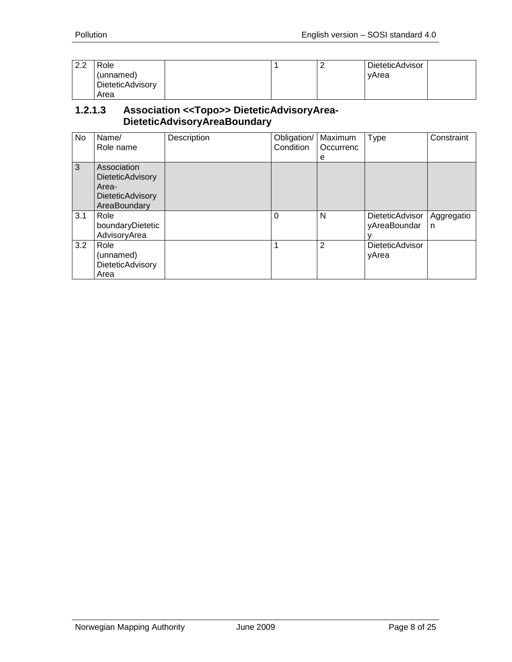| ററ<br>$\sim$ . $\sim$ | Role             |  | DieteticAdvisor |
|-----------------------|------------------|--|-----------------|
|                       | (unnamed)        |  | vArea           |
|                       | DieteticAdvisory |  |                 |
|                       | Area             |  |                 |

#### <span id="page-7-0"></span>**1.2.1.3 Association <<Topo>> DieteticAdvisoryArea-DieteticAdvisoryAreaBoundary**

| No  | Name/<br>Role name                                                                         | Description | Obligation/<br>Condition | Maximum<br>Occurrenc<br>е | Type                            | Constraint      |
|-----|--------------------------------------------------------------------------------------------|-------------|--------------------------|---------------------------|---------------------------------|-----------------|
| 3   | Association<br><b>DieteticAdvisory</b><br>Area-<br><b>DieteticAdvisory</b><br>AreaBoundary |             |                          |                           |                                 |                 |
| 3.1 | Role<br>boundaryDietetic<br>AdvisoryArea                                                   |             | $\Omega$                 | N                         | DieteticAdvisor<br>yAreaBoundar | Aggregatio<br>n |
| 3.2 | Role<br>(unnamed)<br>DieteticAdvisory<br>Area                                              |             | 1                        | 2                         | <b>DieteticAdvisor</b><br>yArea |                 |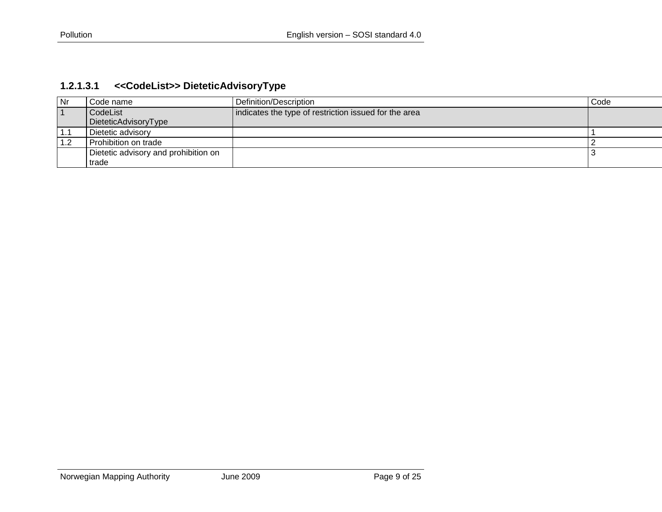<span id="page-8-0"></span>

| Nr | Code name                            | Definition/Description                                | Code |
|----|--------------------------------------|-------------------------------------------------------|------|
|    | CodeList                             | indicates the type of restriction issued for the area |      |
|    | DieteticAdvisoryType                 |                                                       |      |
|    | Dietetic advisory                    |                                                       |      |
|    | Prohibition on trade                 |                                                       |      |
|    | Dietetic advisory and prohibition on |                                                       |      |
|    | trade                                |                                                       |      |

# **1.2.1.3.1 <<CodeList>> DieteticAdvisoryType**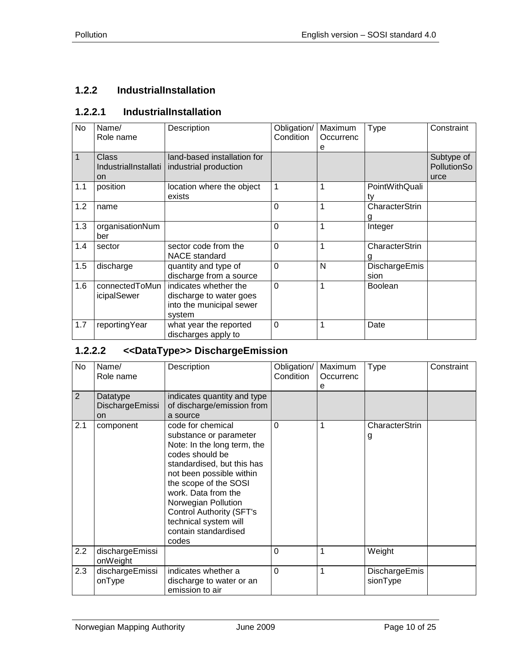# <span id="page-9-0"></span>**1.2.2 IndustrialInstallation**

## <span id="page-9-1"></span>**1.2.2.1 IndustrialInstallation**

| No  | Name/<br>Role name                  | Description                                                                            | Obligation/<br>Condition | Maximum<br>Occurrenc<br>e | <b>Type</b>           | Constraint                        |
|-----|-------------------------------------|----------------------------------------------------------------------------------------|--------------------------|---------------------------|-----------------------|-----------------------------------|
| 1   | Class<br>IndustrialInstallati<br>on | land-based installation for<br>industrial production                                   |                          |                           |                       | Subtype of<br>PollutionSo<br>urce |
| 1.1 | position                            | location where the object<br>exists                                                    | 1                        | 1                         | PointWithQuali<br>ty  |                                   |
| 1.2 | name                                |                                                                                        | $\overline{0}$           | 1                         | CharacterStrin        |                                   |
| 1.3 | organisationNum<br>ber              |                                                                                        | $\overline{0}$           | 1                         | Integer               |                                   |
| 1.4 | sector                              | sector code from the<br><b>NACE</b> standard                                           | $\overline{0}$           | $\mathbf 1$               | CharacterStrin<br>g   |                                   |
| 1.5 | discharge                           | quantity and type of<br>discharge from a source                                        | $\overline{0}$           | N                         | DischargeEmis<br>sion |                                   |
| 1.6 | connectedToMun<br>icipalSewer       | indicates whether the<br>discharge to water goes<br>into the municipal sewer<br>system | $\Omega$                 | 1                         | <b>Boolean</b>        |                                   |
| 1.7 | reportingYear                       | what year the reported<br>discharges apply to                                          | $\mathbf 0$              | 1                         | Date                  |                                   |

## <span id="page-9-2"></span>**1.2.2.2 <<DataType>> DischargeEmission**

| No               | Name/<br>Role name                       | Description                                                                                                                                                                                                                                                                                                                 | Obligation/<br>Condition | Maximum<br>Occurrenc<br>е | Type                      | Constraint |
|------------------|------------------------------------------|-----------------------------------------------------------------------------------------------------------------------------------------------------------------------------------------------------------------------------------------------------------------------------------------------------------------------------|--------------------------|---------------------------|---------------------------|------------|
| $\overline{2}$   | Datatype<br>DischargeEmissi<br><b>on</b> | indicates quantity and type<br>of discharge/emission from<br>a source                                                                                                                                                                                                                                                       |                          |                           |                           |            |
| 2.1              | component                                | code for chemical<br>substance or parameter<br>Note: In the long term, the<br>codes should be<br>standardised, but this has<br>not been possible within<br>the scope of the SOSI<br>work. Data from the<br>Norwegian Pollution<br><b>Control Authority (SFT's</b><br>technical system will<br>contain standardised<br>codes | $\Omega$                 | 1                         | CharacterStrin<br>g       |            |
| $2.2\phantom{0}$ | dischargeEmissi<br>onWeight              |                                                                                                                                                                                                                                                                                                                             | 0                        | 1                         | Weight                    |            |
| 2.3              | dischargeEmissi<br>onType                | indicates whether a<br>discharge to water or an<br>emission to air                                                                                                                                                                                                                                                          | $\overline{0}$           | 1                         | DischargeEmis<br>sionType |            |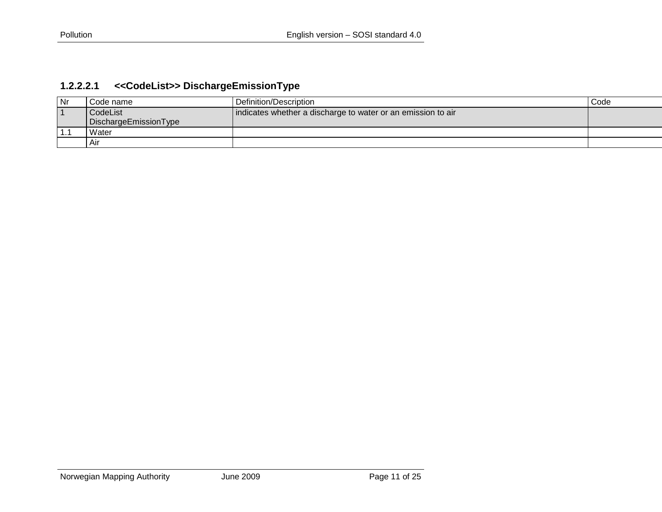<span id="page-10-0"></span>

| Nr  | Code name             | Definition/Description                                       | Code |
|-----|-----------------------|--------------------------------------------------------------|------|
|     | CodeList              | indicates whether a discharge to water or an emission to air |      |
|     | DischargeEmissionType |                                                              |      |
| 1.1 | Water                 |                                                              |      |
|     | Air                   |                                                              |      |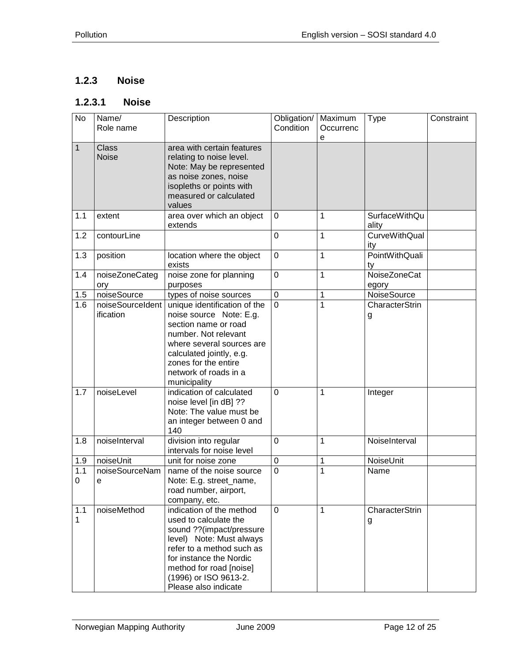# <span id="page-11-0"></span>**1.2.3 Noise**

# <span id="page-11-1"></span>**1.2.3.1 Noise**

| $\overline{N}$ | Name/<br>Role name            | Description                                                                                                                                                                                                                                   | Obligation/<br>Condition | Maximum<br>Occurrenc<br>е | <b>Type</b>                   | Constraint |
|----------------|-------------------------------|-----------------------------------------------------------------------------------------------------------------------------------------------------------------------------------------------------------------------------------------------|--------------------------|---------------------------|-------------------------------|------------|
| $\mathbf{1}$   | <b>Class</b><br><b>Noise</b>  | area with certain features<br>relating to noise level.<br>Note: May be represented<br>as noise zones, noise<br>isopleths or points with<br>measured or calculated<br>values                                                                   |                          |                           |                               |            |
| 1.1            | extent                        | area over which an object<br>extends                                                                                                                                                                                                          | $\mathbf 0$              | 1                         | <b>SurfaceWithQu</b><br>ality |            |
| 1.2            | contourLine                   |                                                                                                                                                                                                                                               | $\mathbf 0$              | 1                         | <b>CurveWithQual</b><br>ity   |            |
| 1.3            | position                      | location where the object<br>exists                                                                                                                                                                                                           | $\mathbf 0$              | 1                         | <b>PointWithQuali</b><br>ty   |            |
| 1.4            | noiseZoneCateg<br>ory         | noise zone for planning<br>purposes                                                                                                                                                                                                           | $\mathbf 0$              | 1                         | <b>NoiseZoneCat</b><br>egory  |            |
| 1.5            | noiseSource                   | types of noise sources                                                                                                                                                                                                                        | $\pmb{0}$                | 1                         | NoiseSource                   |            |
| 1.6            | noiseSourceIdent<br>ification | unique identification of the<br>noise source Note: E.g.<br>section name or road<br>number. Not relevant<br>where several sources are<br>calculated jointly, e.g.<br>zones for the entire<br>network of roads in a<br>municipality             | $\overline{0}$           | 1                         | CharacterStrin<br>g           |            |
| 1.7            | noiseLevel                    | indication of calculated<br>noise level [in dB] ??<br>Note: The value must be<br>an integer between 0 and<br>140                                                                                                                              | $\overline{0}$           | 1                         | Integer                       |            |
| 1.8            | noiseInterval                 | division into regular<br>intervals for noise level                                                                                                                                                                                            | $\mathbf 0$              | 1                         | NoiseInterval                 |            |
| 1.9            | noiseUnit                     | unit for noise zone                                                                                                                                                                                                                           | $\pmb{0}$                | 1                         | NoiseUnit                     |            |
| 1.1<br>0       | noiseSourceNam<br>e           | name of the noise source<br>Note: E.g. street_name,<br>road number, airport,<br>company, etc.                                                                                                                                                 | $\mathbf 0$              | 1                         | Name                          |            |
| 1.1<br>1       | noiseMethod                   | indication of the method<br>used to calculate the<br>sound ??(impact/pressure<br>level) Note: Must always<br>refer to a method such as<br>for instance the Nordic<br>method for road [noise]<br>(1996) or ISO 9613-2.<br>Please also indicate | 0                        | 1                         | CharacterStrin<br>g           |            |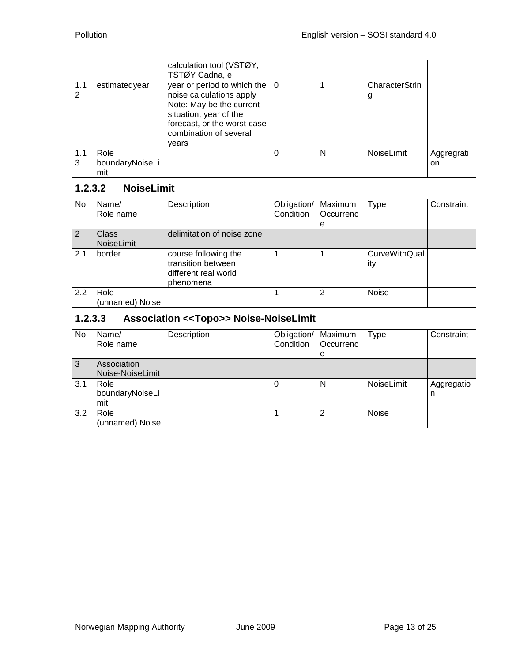|          |                                | calculation tool (VSTØY,<br>TSTØY Cadna, e                                                                                                                                                        |   |                     |                  |
|----------|--------------------------------|---------------------------------------------------------------------------------------------------------------------------------------------------------------------------------------------------|---|---------------------|------------------|
| 1.1      | estimatedyear                  | year or period to which the $\vert 0 \rangle$<br>noise calculations apply<br>Note: May be the current<br>situation, year of the<br>forecast, or the worst-case<br>combination of several<br>vears |   | CharacterStrin<br>g |                  |
| 1.1<br>3 | Role<br>boundaryNoiseLi<br>mit |                                                                                                                                                                                                   | N | NoiseLimit          | Aggregrati<br>on |

# <span id="page-12-0"></span>**1.2.3.2 NoiseLimit**

| No. | Name/<br>Role name         | Description                                                                     | Obligation/<br>Condition | Maximum<br>Occurrenc<br>е | Type                        | Constraint |
|-----|----------------------------|---------------------------------------------------------------------------------|--------------------------|---------------------------|-----------------------------|------------|
| 2   | <b>Class</b><br>NoiseLimit | delimitation of noise zone                                                      |                          |                           |                             |            |
| 2.1 | border                     | course following the<br>transition between<br>different real world<br>phenomena |                          |                           | <b>CurveWithQual</b><br>ity |            |
| 2.2 | Role<br>(unnamed) Noise    |                                                                                 |                          | 2                         | <b>Noise</b>                |            |

# <span id="page-12-1"></span>**1.2.3.3 Association <<Topo>> Noise-NoiseLimit**

| No  | Name/<br>Role name              | Description | Obligation/   Maximum<br>Condition | Occurrenc<br>e | <b>Type</b> | Constraint      |
|-----|---------------------------------|-------------|------------------------------------|----------------|-------------|-----------------|
| 3   | Association<br>Noise-NoiseLimit |             |                                    |                |             |                 |
| 3.1 | Role<br>boundaryNoiseLi<br>mit  |             |                                    | N              | NoiseLimit  | Aggregatio<br>n |
| 3.2 | Role<br>(unnamed) Noise         |             |                                    | $\overline{2}$ | Noise       |                 |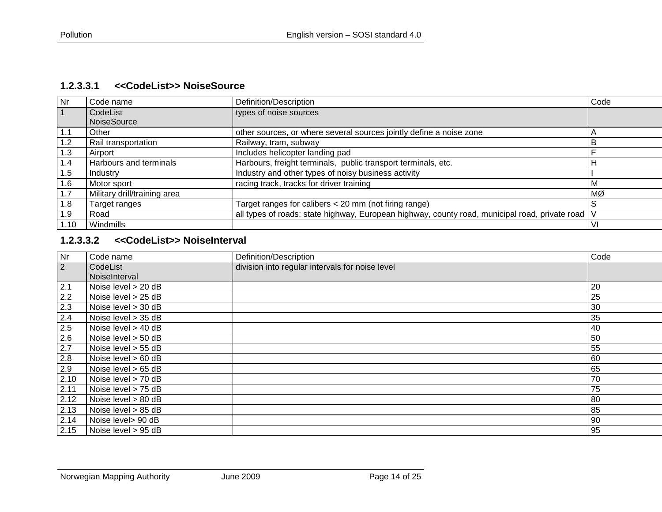#### **1.2.3.3.1 <<CodeList>> NoiseSource**

| <b>Nr</b> | Code name                    | Definition/Description                                                                             | Code           |
|-----------|------------------------------|----------------------------------------------------------------------------------------------------|----------------|
|           | CodeList                     | types of noise sources                                                                             |                |
|           | <b>NoiseSource</b>           |                                                                                                    |                |
| 1.1       | Other                        | other sources, or where several sources jointly define a noise zone                                | $\overline{A}$ |
| 1.2       | Rail transportation          | Railway, tram, subway                                                                              | В              |
| 1.3       | Airport                      | Includes helicopter landing pad                                                                    |                |
| 1.4       | Harbours and terminals       | Harbours, freight terminals, public transport terminals, etc.                                      | $\mathsf{H}$   |
| 1.5       | Industry                     | Industry and other types of noisy business activity                                                |                |
| 1.6       | Motor sport                  | racing track, tracks for driver training                                                           |                |
| 1.7       | Military drill/training area |                                                                                                    | MØ             |
| 1.8       | Target ranges                | Target ranges for calibers < 20 mm (not firing range)                                              | .S             |
| 1.9       | Road                         | all types of roads: state highway, European highway, county road, municipal road, private road   V |                |
| 1.10      | Windmills                    |                                                                                                    | -VI            |

#### <span id="page-13-0"></span>**1.2.3.3.2 <<CodeList>> NoiseInterval**

<span id="page-13-1"></span>

| Nr        | Code name             | Definition/Description                          | Code |
|-----------|-----------------------|-------------------------------------------------|------|
| $\vert$ 2 | CodeList              | division into regular intervals for noise level |      |
|           | NoiseInterval         |                                                 |      |
| 2.1       | Noise level > 20 dB   |                                                 | 20   |
| 2.2       | Noise level > 25 dB   |                                                 | 25   |
| 2.3       | Noise level > 30 dB   |                                                 | 30   |
| 2.4       | Noise level > 35 dB   |                                                 | 35   |
| 2.5       | Noise level $>$ 40 dB |                                                 | 40   |
| 2.6       | Noise level $>$ 50 dB |                                                 | 50   |
| 2.7       | Noise level > 55 dB   |                                                 | 55   |
| 2.8       | Noise level $> 60$ dB |                                                 | 60   |
| 2.9       | Noise level $> 65$ dB |                                                 | 65   |
| 2.10      | Noise level > 70 dB   |                                                 | 70   |
| 2.11      | Noise level > 75 dB   |                                                 | 75   |
| 2.12      | Noise level > 80 dB   |                                                 | 80   |
| 2.13      | Noise level > 85 dB   |                                                 | 85   |
| 2.14      | Noise level> 90 dB    |                                                 | 90   |
| 2.15      | Noise level > 95 dB   |                                                 | 95   |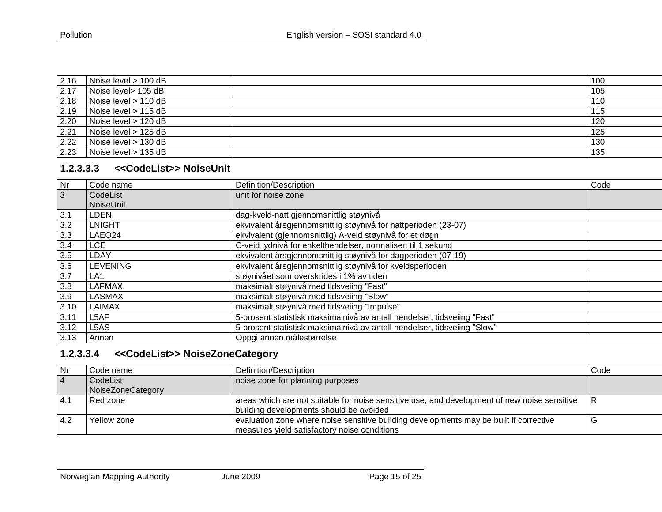| 2.16   | Noise level > 100 dB | 100 |
|--------|----------------------|-----|
| $2.17$ | Noise level> 105 dB  | 105 |
| 2.18   | Noise level > 110 dB | 110 |
| 2.19   | Noise level > 115 dB | 115 |
| 2.20   | Noise level > 120 dB | 120 |
| 2.21   | Noise level > 125 dB | 125 |
| 2.22   | Noise level > 130 dB | 130 |
| 2.23   | Noise level > 135 dB | 135 |

#### **1.2.3.3.3 <<CodeList>> NoiseUnit**

| Nr             | Code name         | Definition/Description                                                   | Code |
|----------------|-------------------|--------------------------------------------------------------------------|------|
| $\overline{3}$ | CodeList          | unit for noise zone                                                      |      |
|                | NoiseUnit         |                                                                          |      |
| 3.1            | <b>LDEN</b>       | dag-kveld-natt gjennomsnittlig støynivå                                  |      |
| 3.2            | <b>LNIGHT</b>     | ekvivalent årsgjennomsnittlig støynivå for nattperioden (23-07)          |      |
| 3.3            | LAEQ24            | ekvivalent (gjennomsnittlig) A-veid støynivå for et døgn                 |      |
| 3.4            | <b>LCE</b>        | C-veid lydnivå for enkelthendelser, normalisert til 1 sekund             |      |
| 3.5            | LDAY              | ekvivalent årsgjennomsnittlig støynivå for dagperioden (07-19)           |      |
| 3.6            | <b>LEVENING</b>   | ekvivalent årsgjennomsnittlig støynivå for kveldsperioden                |      |
| 3.7            | LA <sub>1</sub>   | støynivået som overskrides i 1% av tiden                                 |      |
| 3.8            | LAFMAX            | maksimalt støynivå med tidsveiing "Fast"                                 |      |
| 3.9            | <b>LASMAX</b>     | maksimalt støynivå med tidsveiing "Slow"                                 |      |
| 3.10           | LAIMAX            | maksimalt støynivå med tidsveiing "Impulse"                              |      |
| 3.11           | L5AF              | 5-prosent statistisk maksimalnivå av antall hendelser, tidsveiing "Fast" |      |
| 3.12           | L <sub>5</sub> AS | 5-prosent statistisk maksimalnivå av antall hendelser, tidsveiing "Slow" |      |
| 3.13           | l Annen.          | Oppgi annen målestørrelse                                                |      |

# <span id="page-14-0"></span>**1.2.3.3.4 <<CodeList>> NoiseZoneCategory**

<span id="page-14-1"></span>

| l Nr      | Code name         | Definition/Description                                                                                                                  | Code |
|-----------|-------------------|-----------------------------------------------------------------------------------------------------------------------------------------|------|
| $\vert$ 4 | CodeList          | noise zone for planning purposes                                                                                                        |      |
|           | NoiseZoneCategory |                                                                                                                                         |      |
| 4.1       | Red zone          | areas which are not suitable for noise sensitive use, and development of new noise sensitive<br>building developments should be avoided | ıκ   |
| 14.2      | Yellow zone       | evaluation zone where noise sensitive building developments may be built if corrective<br>measures yield satisfactory noise conditions  | v    |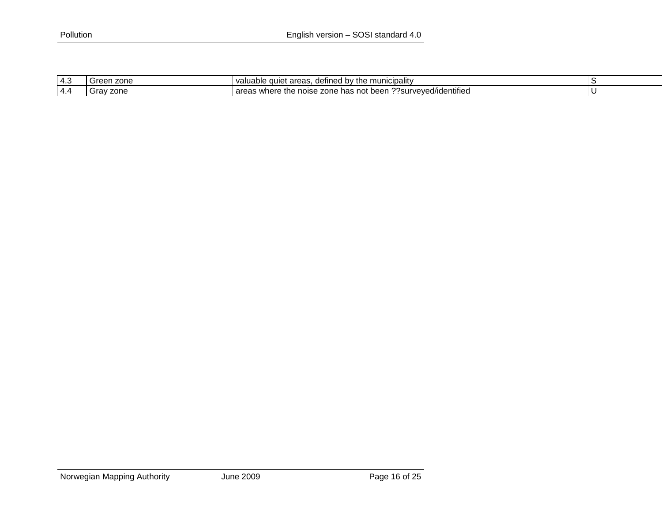| . .<br>د.4 | zone<br><b>roon</b><br>Gree | areas<br>defined<br><b>Polity</b><br>mun<br>valuable<br>the<br>n,<br>aulet<br>-כוס<br>$\cdots$                         |  |
|------------|-----------------------------|------------------------------------------------------------------------------------------------------------------------|--|
| 4.4        | $\cdots$<br>∵zone i<br>JI d | ^^<br>??surveved/identified?<br>the<br>hoon<br>e has net …<br>areas<br>where<br>noise<br>zone<br>veen<br>미 다<br>וטסווט |  |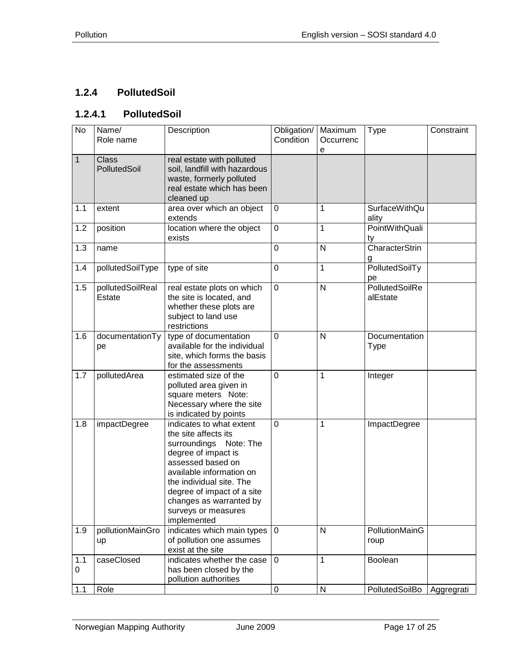# <span id="page-16-0"></span>**1.2.4 PollutedSoil**

#### <span id="page-16-1"></span>**1.2.4.1 PollutedSoil**

| No           | Name/<br>Role name           | Description                                                                                                                                                                                                                                                                   | Obligation/<br>Condition | Maximum<br>Occurrenc | <b>Type</b>                   | Constraint |
|--------------|------------------------------|-------------------------------------------------------------------------------------------------------------------------------------------------------------------------------------------------------------------------------------------------------------------------------|--------------------------|----------------------|-------------------------------|------------|
|              |                              |                                                                                                                                                                                                                                                                               |                          | е                    |                               |            |
| $\mathbf{1}$ | <b>Class</b><br>PollutedSoil | real estate with polluted<br>soil, landfill with hazardous<br>waste, formerly polluted<br>real estate which has been<br>cleaned up                                                                                                                                            |                          |                      |                               |            |
| 1.1          | extent                       | area over which an object<br>extends                                                                                                                                                                                                                                          | $\mathbf 0$              | 1                    | <b>SurfaceWithQu</b><br>ality |            |
| 1.2          | position                     | location where the object<br>exists                                                                                                                                                                                                                                           | $\mathbf 0$              | $\mathbf{1}$         | PointWithQuali<br>ty          |            |
| 1.3          | name                         |                                                                                                                                                                                                                                                                               | $\mathbf 0$              | N                    | <b>CharacterStrin</b><br>g    |            |
| 1.4          | pollutedSoilType             | type of site                                                                                                                                                                                                                                                                  | $\mathbf 0$              | 1                    | PollutedSoilTy<br>pe          |            |
| 1.5          | pollutedSoilReal<br>Estate   | real estate plots on which<br>the site is located, and<br>whether these plots are<br>subject to land use<br>restrictions                                                                                                                                                      | $\mathbf 0$              | N                    | PollutedSoilRe<br>alEstate    |            |
| 1.6          | documentationTy<br>pe        | type of documentation<br>available for the individual<br>site, which forms the basis<br>for the assessments                                                                                                                                                                   | $\mathbf 0$              | N                    | Documentation<br>Type         |            |
| 1.7          | pollutedArea                 | estimated size of the<br>polluted area given in<br>square meters Note:<br>Necessary where the site<br>is indicated by points                                                                                                                                                  | $\mathbf 0$              | 1                    | Integer                       |            |
| 1.8          | impactDegree                 | indicates to what extent<br>the site affects its<br>surroundings Note: The<br>degree of impact is<br>assessed based on<br>available information on<br>the individual site. The<br>degree of impact of a site<br>changes as warranted by<br>surveys or measures<br>implemented | $\overline{0}$           | 1                    | ImpactDegree                  |            |
| 1.9          | pollutionMainGro<br>up       | indicates which main types<br>of pollution one assumes<br>exist at the site                                                                                                                                                                                                   | $\overline{0}$           | N                    | PollutionMainG<br>roup        |            |
| 1.1<br>0     | caseClosed                   | indicates whether the case<br>has been closed by the<br>pollution authorities                                                                                                                                                                                                 | $\mathbf 0$              | $\mathbf{1}$         | Boolean                       |            |
| 1.1          | Role                         |                                                                                                                                                                                                                                                                               | 0                        | $\mathsf{N}$         | PollutedSoilBo                | Aggregrati |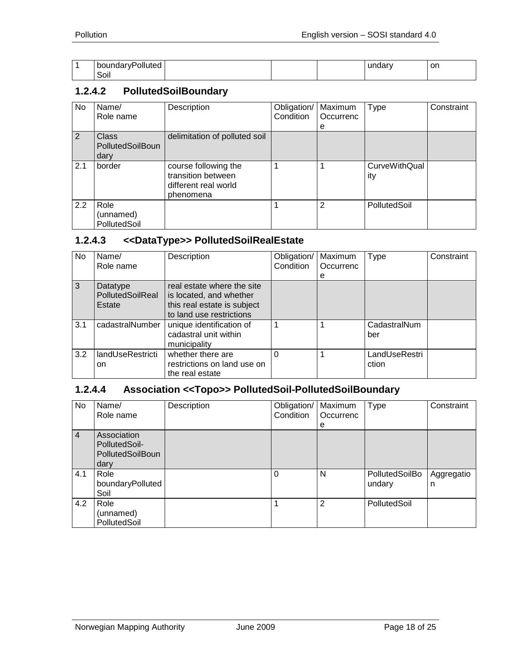| -<br>boundaryPolluted |  |  | on. |
|-----------------------|--|--|-----|
| $\cdot$ .<br>SOII     |  |  |     |

#### <span id="page-17-0"></span>**1.2.4.2 PollutedSoilBoundary**

| No  | Name/<br>Role name                              | Description                                                                     | Obligation/<br>Condition | Maximum<br>Occurrenc<br>е | <b>Type</b>                 | Constraint |
|-----|-------------------------------------------------|---------------------------------------------------------------------------------|--------------------------|---------------------------|-----------------------------|------------|
| 2   | <b>Class</b><br><b>PollutedSoilBoun</b><br>dary | delimitation of polluted soil                                                   |                          |                           |                             |            |
| 2.1 | border                                          | course following the<br>transition between<br>different real world<br>phenomena |                          |                           | <b>CurveWithQual</b><br>ity |            |
| 2.2 | Role<br>(unnamed)<br>PollutedSoil               |                                                                                 |                          | 2                         | PollutedSoil                |            |

#### <span id="page-17-1"></span>**1.2.4.3 <<DataType>> PollutedSoilRealEstate**

| No. | Name/                                  | Description                                                                                                      | Obligation/   Maximum |           | <b>Type</b>            | Constraint |
|-----|----------------------------------------|------------------------------------------------------------------------------------------------------------------|-----------------------|-----------|------------------------|------------|
|     | Role name                              |                                                                                                                  | Condition             | Occurrenc |                        |            |
|     |                                        |                                                                                                                  |                       | е         |                        |            |
| 3   | Datatype<br>PollutedSoilReal<br>Estate | real estate where the site<br>is located, and whether<br>this real estate is subject<br>to land use restrictions |                       |           |                        |            |
| 3.1 | cadastralNumber                        | unique identification of<br>cadastral unit within<br>municipality                                                |                       |           | CadastralNum<br>ber    |            |
| 3.2 | landUseRestricti<br><sub>on</sub>      | whether there are<br>restrictions on land use on<br>the real estate                                              |                       | 1         | LandUseRestri<br>ction |            |

## <span id="page-17-2"></span>**1.2.4.4 Association <<Topo>> PollutedSoil-PollutedSoilBoundary**

| No             | Name/<br>Role name                                              | Description | Obligation/<br>Condition | Maximum<br>Occurrenc | <b>Type</b>              | Constraint      |
|----------------|-----------------------------------------------------------------|-------------|--------------------------|----------------------|--------------------------|-----------------|
| $\overline{4}$ | Association<br>PollutedSoil-<br><b>PollutedSoilBoun</b><br>dary |             |                          | е                    |                          |                 |
| 4.1            | Role<br>boundaryPolluted<br>Soil                                |             | 0                        | N                    | PollutedSoilBo<br>undary | Aggregatio<br>n |
| 4.2            | Role<br>(unnamed)<br>PollutedSoil                               |             |                          | $\overline{2}$       | PollutedSoil             |                 |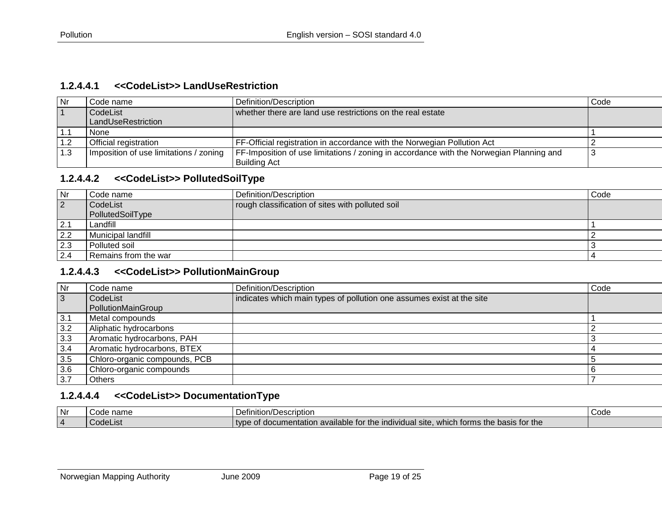#### **1.2.4.4.1 <<CodeList>> LandUseRestriction**

| Nr     | Code name                              | Definition/Description                                                                  | Code |
|--------|----------------------------------------|-----------------------------------------------------------------------------------------|------|
|        | CodeList                               | whether there are land use restrictions on the real estate                              |      |
|        | LandUseRestriction                     |                                                                                         |      |
| ' 1. . | <b>None</b>                            |                                                                                         |      |
|        | Official registration                  | FF-Official registration in accordance with the Norwegian Pollution Act                 |      |
| 1.3    | Imposition of use limitations / zoning | FF-Imposition of use limitations / zoning in accordance with the Norwegian Planning and |      |
|        |                                        | <b>Building Act</b>                                                                     |      |

#### **1.2.4.4.2 <<CodeList>> PollutedSoilType**

<span id="page-18-0"></span>

| Nr        | Code name            | Definition/Description                           | Code |
|-----------|----------------------|--------------------------------------------------|------|
| <u> 2</u> | CodeList             | rough classification of sites with polluted soil |      |
|           | PollutedSoilType     |                                                  |      |
| 2.7       | Landfill             |                                                  |      |
| 2.2       | Municipal landfill   |                                                  |      |
| 2.3       | Polluted soil        |                                                  |      |
| 2.4       | Remains from the war |                                                  |      |

#### **1.2.4.4.3 <<CodeList>> PollutionMainGroup**

<span id="page-18-1"></span>

| Nr  | Code name                     | Definition/Description                                                | Code |
|-----|-------------------------------|-----------------------------------------------------------------------|------|
| 3   | CodeList                      | indicates which main types of pollution one assumes exist at the site |      |
|     | PollutionMainGroup            |                                                                       |      |
| 3.1 | Metal compounds               |                                                                       |      |
| 3.2 | Aliphatic hydrocarbons        |                                                                       |      |
| 3.3 | Aromatic hydrocarbons, PAH    |                                                                       |      |
| 3.4 | Aromatic hydrocarbons, BTEX   |                                                                       |      |
| 3.5 | Chloro-organic compounds, PCB |                                                                       |      |
| 3.6 | Chloro-organic compounds      |                                                                       |      |
| 3.7 | <b>Others</b>                 |                                                                       |      |

## **1.2.4.4.4 <<CodeList>> DocumentationType**

<span id="page-18-3"></span><span id="page-18-2"></span>

| Nr             | าam∈ | า/Description<br>Definition<br>ဟշ⊔                                                                                                         | Code |
|----------------|------|--------------------------------------------------------------------------------------------------------------------------------------------|------|
| $\overline{a}$ | uc.  | asis for the<br>which<br>-----<br>hacıc<br>entation.<br><b>Individual site</b><br>type<br>available for<br>docume<br>тnе.<br>ז rorms<br>me |      |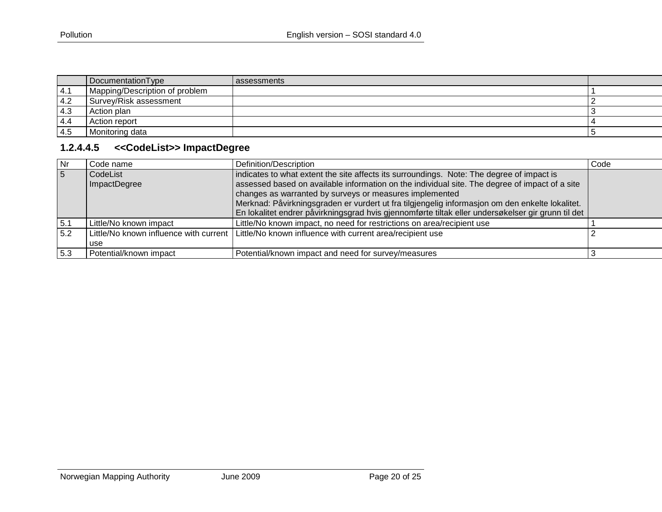|     | DocumentationType              | I assessments |  |
|-----|--------------------------------|---------------|--|
| 4.1 | Mapping/Description of problem |               |  |
| 4.2 | Survey/Risk assessment         |               |  |
| 4.3 | Action plan                    |               |  |
| 4.4 | Action report                  |               |  |
| 4.5 | Monitoring data                |               |  |

# **1.2.4.4.5 <<CodeList>> ImpactDegree**

<span id="page-19-0"></span>

| <b>Nr</b> | Code name                                       | Definition/Description                                                                                                                                                                                                                                                                                                                                                                                                                                          | Code |
|-----------|-------------------------------------------------|-----------------------------------------------------------------------------------------------------------------------------------------------------------------------------------------------------------------------------------------------------------------------------------------------------------------------------------------------------------------------------------------------------------------------------------------------------------------|------|
| 5         | CodeList<br>ImpactDegree                        | indicates to what extent the site affects its surroundings. Note: The degree of impact is<br>assessed based on available information on the individual site. The degree of impact of a site<br>changes as warranted by surveys or measures implemented<br>Merknad: Påvirkningsgraden er vurdert ut fra tilgjengelig informasjon om den enkelte lokalitet.<br>En lokalitet endrer påvirkningsgrad hvis gjennomførte tiltak eller undersøkelser gir grunn til det |      |
| 5.1       | Little/No known impact                          | Little/No known impact, no need for restrictions on area/recipient use                                                                                                                                                                                                                                                                                                                                                                                          |      |
| 5.2       | Little/No known influence with current  <br>use | Little/No known influence with current area/recipient use                                                                                                                                                                                                                                                                                                                                                                                                       |      |
| 5.3       | Potential/known impact                          | Potential/known impact and need for survey/measures                                                                                                                                                                                                                                                                                                                                                                                                             |      |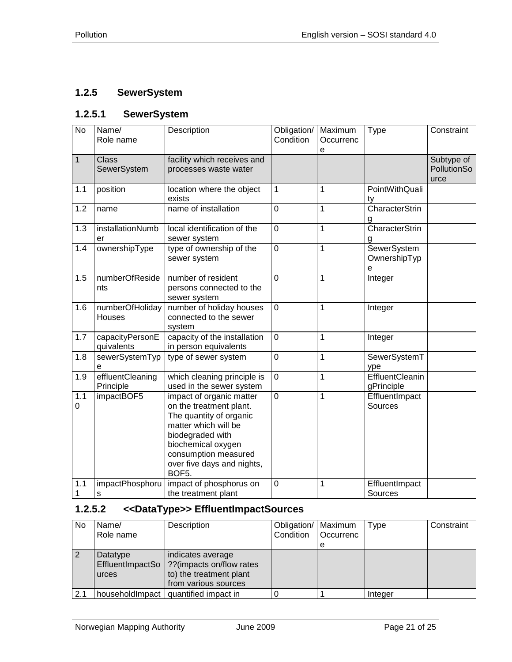# <span id="page-20-0"></span>**1.2.5 SewerSystem**

#### <span id="page-20-1"></span>**1.2.5.1 SewerSystem**

| $\overline{N}$ | Name/<br>Role name            | Description                                                                                                                                                                                                     | Obligation/<br>Condition | Maximum<br>Occurrenc<br>e | Type                             | Constraint                        |
|----------------|-------------------------------|-----------------------------------------------------------------------------------------------------------------------------------------------------------------------------------------------------------------|--------------------------|---------------------------|----------------------------------|-----------------------------------|
| $\overline{1}$ | <b>Class</b><br>SewerSystem   | facility which receives and<br>processes waste water                                                                                                                                                            |                          |                           |                                  | Subtype of<br>PollutionSo<br>urce |
| 1.1            | position                      | location where the object<br>exists                                                                                                                                                                             | 1                        | 1                         | PointWithQuali<br>ty             |                                   |
| 1.2            | name                          | name of installation                                                                                                                                                                                            | $\mathbf 0$              | $\mathbf 1$               | <b>CharacterStrin</b><br>g       |                                   |
| 1.3            | installationNumb<br>er        | local identification of the<br>sewer system                                                                                                                                                                     | 0                        | 1                         | CharacterStrin<br>g              |                                   |
| 1.4            | ownershipType                 | type of ownership of the<br>sewer system                                                                                                                                                                        | $\overline{0}$           | 1                         | SewerSystem<br>OwnershipTyp<br>е |                                   |
| 1.5            | numberOfReside<br>nts         | number of resident<br>persons connected to the<br>sewer system                                                                                                                                                  | $\overline{0}$           | 1                         | Integer                          |                                   |
| 1.6            | numberOfHoliday<br>Houses     | number of holiday houses<br>connected to the sewer<br>system                                                                                                                                                    | $\mathbf 0$              | 1                         | Integer                          |                                   |
| 1.7            | capacityPersonE<br>quivalents | capacity of the installation<br>in person equivalents                                                                                                                                                           | $\overline{0}$           | 1                         | Integer                          |                                   |
| 1.8            | sewerSystemTyp<br>e           | type of sewer system                                                                                                                                                                                            | $\pmb{0}$                | 1                         | SewerSystemT<br>ype              |                                   |
| 1.9            | effluentCleaning<br>Principle | which cleaning principle is<br>used in the sewer system                                                                                                                                                         | $\mathbf 0$              | 1                         | EffluentCleanin<br>gPrinciple    |                                   |
| 1.1<br>0       | impactBOF5                    | impact of organic matter<br>on the treatment plant.<br>The quantity of organic<br>matter which will be<br>biodegraded with<br>biochemical oxygen<br>consumption measured<br>over five days and nights,<br>BOF5. | 0                        | 1                         | EffluentImpact<br>Sources        |                                   |
| 1.1<br>1       | impactPhosphoru<br>s          | impact of phosphorus on<br>the treatment plant                                                                                                                                                                  | 0                        | 1                         | EffluentImpact<br>Sources        |                                   |

## <span id="page-20-2"></span>**1.2.5.2 <<DataType>> EffluentImpactSources**

| <b>No</b> | Name/             | Description                                                                                                          | Obligation/   Maximum |           | <b>Type</b> | Constraint |
|-----------|-------------------|----------------------------------------------------------------------------------------------------------------------|-----------------------|-----------|-------------|------------|
|           | Role name         |                                                                                                                      | Condition             | Occurrenc |             |            |
|           |                   |                                                                                                                      |                       | е         |             |            |
|           | Datatype<br>urces | indicates average<br>EffluentImpactSo   ?? (impacts on/flow rates<br>to) the treatment plant<br>from various sources |                       |           |             |            |
| 2.1       |                   | household mpact   quantified impact in                                                                               |                       |           | Integer     |            |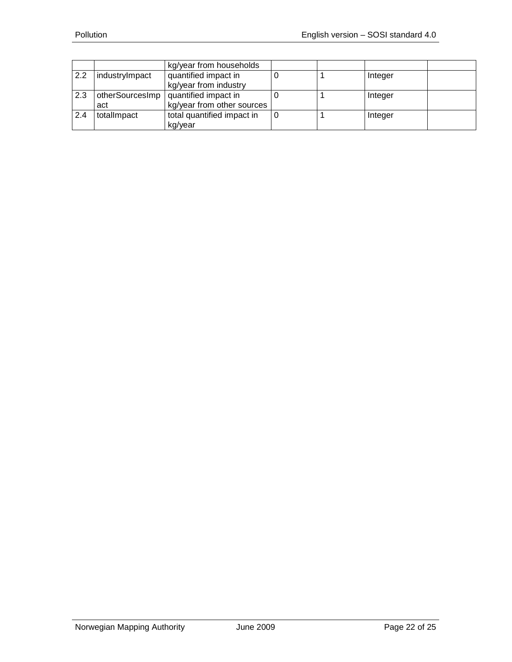|     |                | kg/year from households                       |  |         |  |
|-----|----------------|-----------------------------------------------|--|---------|--|
| 2.2 | industryImpact | quantified impact in<br>kg/year from industry |  | Integer |  |
| 2.3 |                | otherSourcesImp   quantified impact in        |  | Integer |  |
|     | act            | kg/year from other sources                    |  |         |  |
| 2.4 | totallmpact    | total quantified impact in                    |  | Integer |  |
|     |                | kg/year                                       |  |         |  |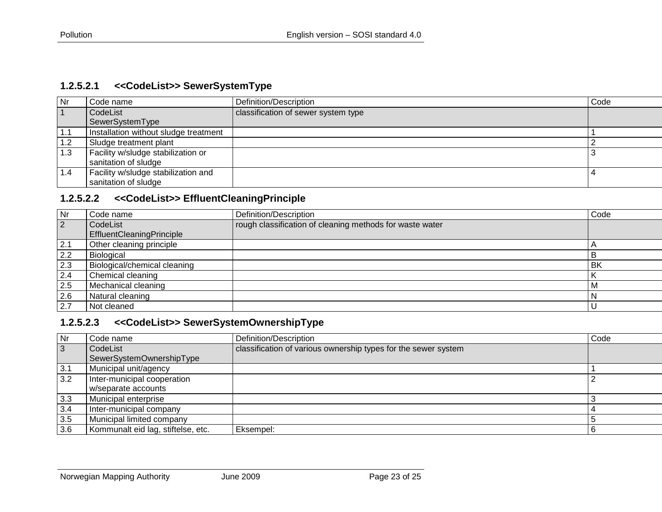#### **1.2.5.2.1 <<CodeList>> SewerSystemType**

| Nr  | Code name                             | Definition/Description              | Code |
|-----|---------------------------------------|-------------------------------------|------|
|     | CodeList                              | classification of sewer system type |      |
|     | SewerSystemType                       |                                     |      |
| 1.1 | Installation without sludge treatment |                                     |      |
| 1.2 | Sludge treatment plant                |                                     |      |
| 1.3 | Facility w/sludge stabilization or    |                                     |      |
|     | sanitation of sludge                  |                                     |      |
| 1.4 | Facility w/sludge stabilization and   |                                     |      |
|     | sanitation of sludge                  |                                     |      |

#### **1.2.5.2.2 <<CodeList>> EffluentCleaningPrinciple**

<span id="page-22-0"></span>

| Nr          | Code name                    | Definition/Description                                   | Code      |
|-------------|------------------------------|----------------------------------------------------------|-----------|
| $ 2\rangle$ | CodeList                     | rough classification of cleaning methods for waste water |           |
|             | EffluentCleaningPrinciple    |                                                          |           |
| 2.1         | Other cleaning principle     |                                                          |           |
| 2.2         | Biological                   |                                                          | В         |
| 2.3         | Biological/chemical cleaning |                                                          | <b>BK</b> |
| 2.4         | Chemical cleaning            |                                                          |           |
| 2.5         | Mechanical cleaning          |                                                          | i M       |
| 2.6         | Natural cleaning             |                                                          | ۱N        |
| 2.7         | Not cleaned                  |                                                          |           |

## **1.2.5.2.3 <<CodeList>> SewerSystemOwnershipType**

<span id="page-22-2"></span><span id="page-22-1"></span>

| Nr  | Code name                          | Definition/Description                                         | Code |
|-----|------------------------------------|----------------------------------------------------------------|------|
| 3   | CodeList                           | classification of various ownership types for the sewer system |      |
|     | SewerSystemOwnershipType           |                                                                |      |
| 3.1 | Municipal unit/agency              |                                                                |      |
| 3.2 | Inter-municipal cooperation        |                                                                |      |
|     | w/separate accounts                |                                                                |      |
| 3.3 | <b>Municipal enterprise</b>        |                                                                |      |
| 3.4 | Inter-municipal company            |                                                                |      |
| 3.5 | Municipal limited company          |                                                                |      |
| 3.6 | Kommunalt eid lag, stiftelse, etc. | Eksempel:                                                      |      |